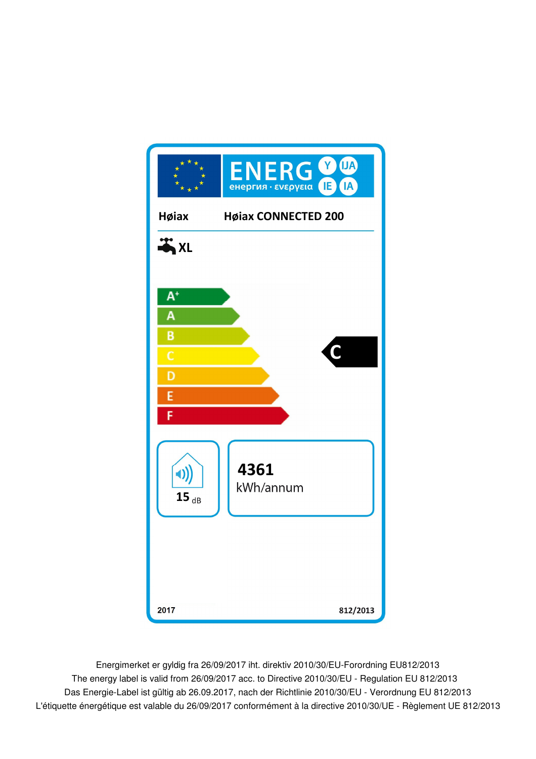

Energimerket er gyldig fra 26/09/2017 iht. direktiv 2010/30/EU-Forordning EU812/2013 Das Energie-Label ist gültig ab 26.09.2017, nach der Richtlinie 2010/30/EU - Verordnung EU 812/2013 The energy label is valid from 26/09/2017 acc. to Directive 2010/30/EU - Regulation EU 812/2013 L'étiquette énergétique est valable du 26/09/2017 conformément à la directive 2010/30/UE - Règlement UE 812/2013